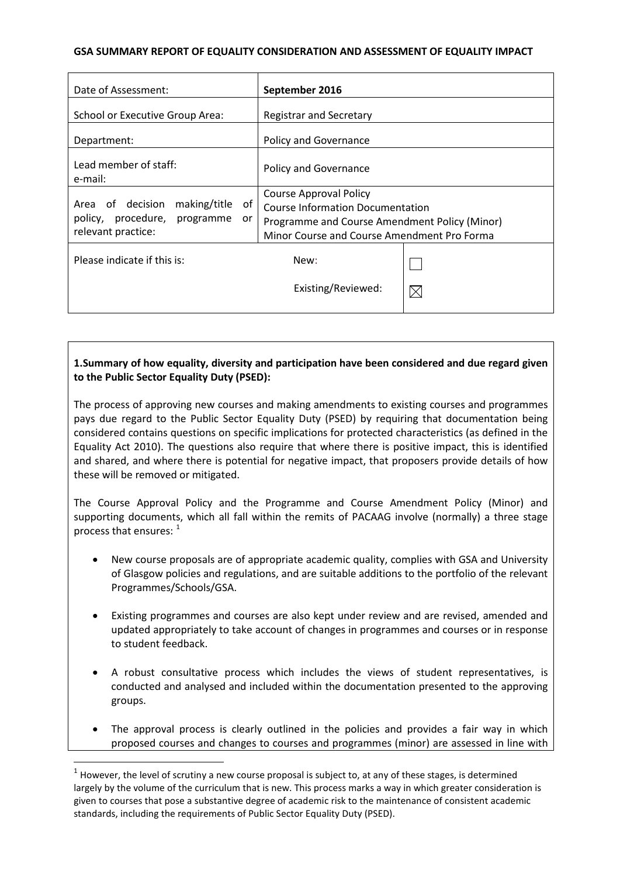## **GSA SUMMARY REPORT OF EQUALITY CONSIDERATION AND ASSESSMENT OF EQUALITY IMPACT**

| Date of Assessment:                                                                             | September 2016                                                                                                                                                           |  |
|-------------------------------------------------------------------------------------------------|--------------------------------------------------------------------------------------------------------------------------------------------------------------------------|--|
| School or Executive Group Area:                                                                 | <b>Registrar and Secretary</b>                                                                                                                                           |  |
| Department:                                                                                     | Policy and Governance                                                                                                                                                    |  |
| Lead member of staff:<br>e-mail:                                                                | <b>Policy and Governance</b>                                                                                                                                             |  |
| Area of decision making/title<br>of<br>policy, procedure, programme<br>or<br>relevant practice: | <b>Course Approval Policy</b><br><b>Course Information Documentation</b><br>Programme and Course Amendment Policy (Minor)<br>Minor Course and Course Amendment Pro Forma |  |
| Please indicate if this is:                                                                     | New:                                                                                                                                                                     |  |
|                                                                                                 | Existing/Reviewed:                                                                                                                                                       |  |

# **1.Summary of how equality, diversity and participation have been considered and due regard given to the Public Sector Equality Duty (PSED):**

The process of approving new courses and making amendments to existing courses and programmes pays due regard to the Public Sector Equality Duty (PSED) by requiring that documentation being considered contains questions on specific implications for protected characteristics (as defined in the Equality Act 2010). The questions also require that where there is positive impact, this is identified and shared, and where there is potential for negative impact, that proposers provide details of how these will be removed or mitigated.

The Course Approval Policy and the Programme and Course Amendment Policy (Minor) and supporting documents, which all fall within the remits of PACAAG involve (normally) a three stage process that ensures:  $1$ 

- New course proposals are of appropriate academic quality, complies with GSA and University of Glasgow policies and regulations, and are suitable additions to the portfolio of the relevant Programmes/Schools/GSA.
- Existing programmes and courses are also kept under review and are revised, amended and updated appropriately to take account of changes in programmes and courses or in response to student feedback.
- A robust consultative process which includes the views of student representatives, is conducted and analysed and included within the documentation presented to the approving groups.
- The approval process is clearly outlined in the policies and provides a fair way in which proposed courses and changes to courses and programmes (minor) are assessed in line with

<span id="page-0-0"></span> $1$  However, the level of scrutiny a new course proposal is subject to, at any of these stages, is determined largely by the volume of the curriculum that is new. This process marks a way in which greater consideration is given to courses that pose a substantive degree of academic risk to the maintenance of consistent academic standards, including the requirements of Public Sector Equality Duty (PSED).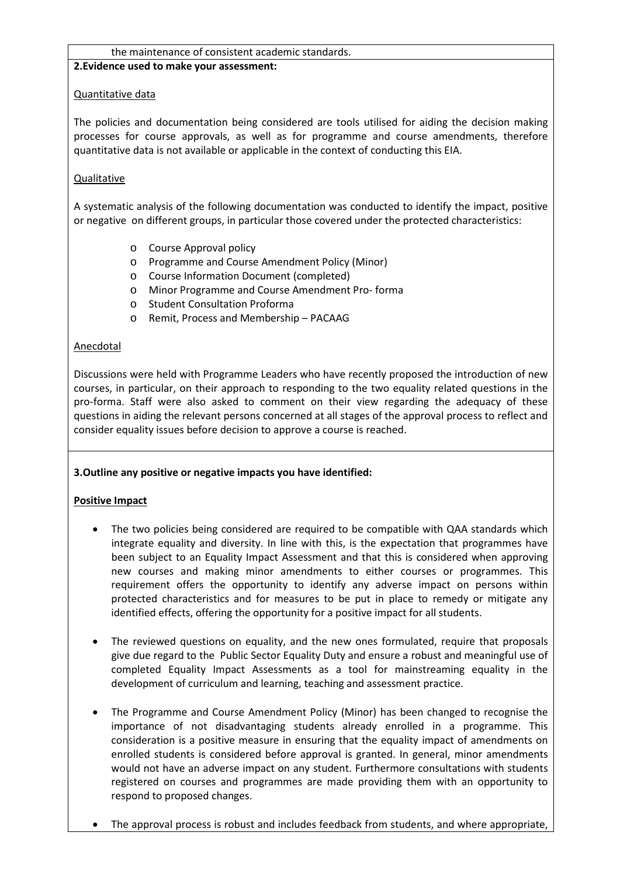### the maintenance of consistent academic standards.

### **2.Evidence used to make your assessment:**

## Quantitative data

The policies and documentation being considered are tools utilised for aiding the decision making processes for course approvals, as well as for programme and course amendments, therefore quantitative data is not available or applicable in the context of conducting this EIA.

# **Qualitative**

A systematic analysis of the following documentation was conducted to identify the impact, positive or negative on different groups, in particular those covered under the protected characteristics:

- o Course Approval policy
- o Programme and Course Amendment Policy (Minor)
- o Course Information Document (completed)
- o Minor Programme and Course Amendment Pro- forma
- o Student Consultation Proforma
- o Remit, Process and Membership PACAAG

## Anecdotal

Discussions were held with Programme Leaders who have recently proposed the introduction of new courses, in particular, on their approach to responding to the two equality related questions in the pro-forma. Staff were also asked to comment on their view regarding the adequacy of these questions in aiding the relevant persons concerned at all stages of the approval process to reflect and consider equality issues before decision to approve a course is reached.

# **3.Outline any positive or negative impacts you have identified:**

### **Positive Impact**

- The two policies being considered are required to be compatible with QAA standards which integrate equality and diversity. In line with this, is the expectation that programmes have been subject to an Equality Impact Assessment and that this is considered when approving new courses and making minor amendments to either courses or programmes. This requirement offers the opportunity to identify any adverse impact on persons within protected characteristics and for measures to be put in place to remedy or mitigate any identified effects, offering the opportunity for a positive impact for all students.
- The reviewed questions on equality, and the new ones formulated, require that proposals give due regard to the Public Sector Equality Duty and ensure a robust and meaningful use of completed Equality Impact Assessments as a tool for mainstreaming equality in the development of curriculum and learning, teaching and assessment practice.
- The Programme and Course Amendment Policy (Minor) has been changed to recognise the importance of not disadvantaging students already enrolled in a programme. This consideration is a positive measure in ensuring that the equality impact of amendments on enrolled students is considered before approval is granted. In general, minor amendments would not have an adverse impact on any student. Furthermore consultations with students registered on courses and programmes are made providing them with an opportunity to respond to proposed changes.
- The approval process is robust and includes feedback from students, and where appropriate,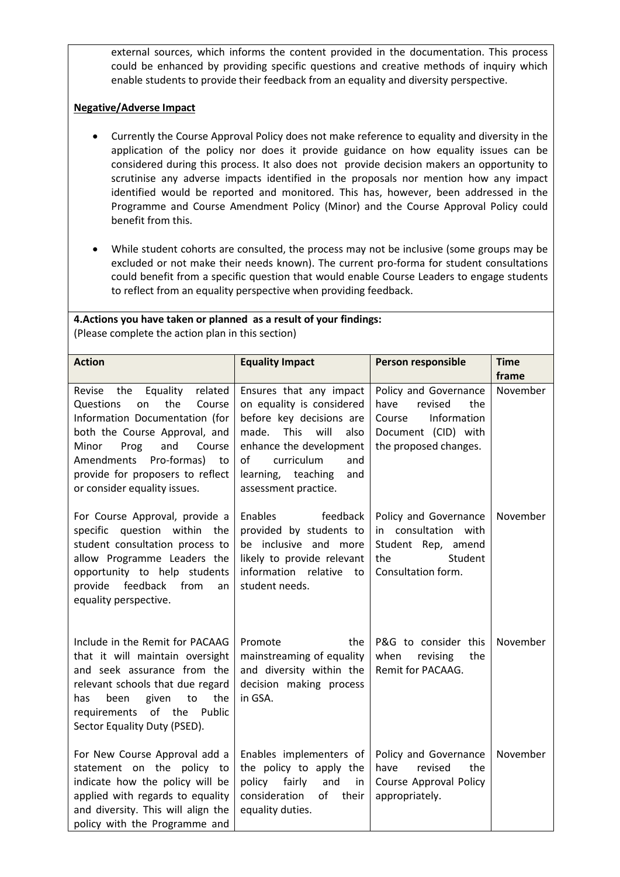external sources, which informs the content provided in the documentation. This process could be enhanced by providing specific questions and creative methods of inquiry which enable students to provide their feedback from an equality and diversity perspective.

# **Negative/Adverse Impact**

- Currently the Course Approval Policy does not make reference to equality and diversity in the application of the policy nor does it provide guidance on how equality issues can be considered during this process. It also does not provide decision makers an opportunity to scrutinise any adverse impacts identified in the proposals nor mention how any impact identified would be reported and monitored. This has, however, been addressed in the Programme and Course Amendment Policy (Minor) and the Course Approval Policy could benefit from this.
- While student cohorts are consulted, the process may not be inclusive (some groups may be excluded or not make their needs known). The current pro-forma for student consultations could benefit from a specific question that would enable Course Leaders to engage students to reflect from an equality perspective when providing feedback.

### **4.Actions you have taken or planned as a result of your findings:** (Please complete the action plan in this section)

| <b>Action</b>                                                                                                                                                                                                                                                                        | <b>Equality Impact</b>                                                                                                                                                                                                              | Person responsible                                                                                                       | <b>Time</b> |
|--------------------------------------------------------------------------------------------------------------------------------------------------------------------------------------------------------------------------------------------------------------------------------------|-------------------------------------------------------------------------------------------------------------------------------------------------------------------------------------------------------------------------------------|--------------------------------------------------------------------------------------------------------------------------|-------------|
|                                                                                                                                                                                                                                                                                      |                                                                                                                                                                                                                                     |                                                                                                                          | frame       |
| Equality<br>related<br>the<br>Revise<br>the<br>Questions<br>Course<br>on<br>Information Documentation (for<br>both the Course Approval, and<br>Minor<br>and<br>Prog<br>Course<br>Amendments<br>Pro-formas)<br>to<br>provide for proposers to reflect<br>or consider equality issues. | Ensures that any impact<br>on equality is considered<br>before key decisions are<br><b>This</b><br>will<br>made.<br>also<br>enhance the development<br>curriculum<br>of<br>and<br>learning, teaching<br>and<br>assessment practice. | Policy and Governance<br>have<br>revised<br>the<br>Information<br>Course<br>Document (CID) with<br>the proposed changes. | November    |
| For Course Approval, provide a<br>specific question within the<br>student consultation process to<br>allow Programme Leaders the<br>opportunity to help students<br>feedback<br>provide<br>from<br>an<br>equality perspective.                                                       | Enables<br>feedback<br>provided by students to<br>be inclusive and more<br>likely to provide relevant<br>information<br>relative<br>to<br>student needs.                                                                            | Policy and Governance<br>in consultation with<br>Student Rep, amend<br>Student<br>the<br>Consultation form.              | November    |
| Include in the Remit for PACAAG<br>that it will maintain oversight<br>and seek assurance from the<br>relevant schools that due regard<br>the<br>to<br>has.<br>been<br>given<br>of the<br>requirements<br>Public<br>Sector Equality Duty (PSED).                                      | Promote<br>the<br>mainstreaming of equality<br>and diversity within the<br>decision making process<br>in GSA.                                                                                                                       | P&G to consider this<br>when<br>revising<br>the<br>Remit for PACAAG.                                                     | November    |
| For New Course Approval add a<br>statement on the policy to<br>indicate how the policy will be<br>applied with regards to equality<br>and diversity. This will align the<br>policy with the Programme and                                                                            | Enables implementers of<br>the policy to apply the<br>fairly<br>policy<br>and<br>in<br>consideration<br>of<br>their<br>equality duties.                                                                                             | Policy and Governance<br>revised<br>have<br>the<br>Course Approval Policy<br>appropriately.                              | November    |